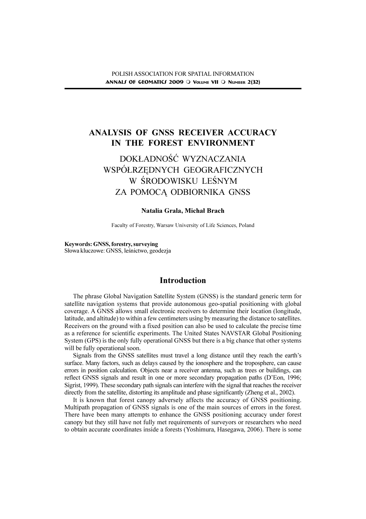## ANALYSIS OF GNSS RECEIVER ACCURACY IN THE FOREST ENVIRONMENT

# DOKŁADNOŚĆ WYZNACZANIA WSPÓ£RZÊDNYCH GEOGRAFICZNYCH W ŚRODOWISKU LEŚNYM ZA POMOCA ODBIORNIKA GNSS

#### Natalia Grala, Michał Brach

Faculty of Forestry, Warsaw University of Life Sciences, Poland

Keywords: GNSS, forestry, surveying Słowa kluczowe: GNSS, leśnictwo, geodezja

### Introduction

The phrase Global Navigation Satellite System (GNSS) is the standard generic term for satellite navigation systems that provide autonomous geo-spatial positioning with global coverage. A GNSS allows small electronic receivers to determine their location (longitude, latitude, and altitude) to within a few centimeters using by measuring the distance to satellites. Receivers on the ground with a fixed position can also be used to calculate the precise time as a reference for scientific experiments. The United States NAVSTAR Global Positioning System (GPS) is the only fully operational GNSS but there is a big chance that other systems will be fully operational soon.

Signals from the GNSS satellites must travel a long distance until they reach the earth's surface. Many factors, such as delays caused by the ionosphere and the troposphere, can cause errors in position calculation. Objects near a receiver antenna, such as trees or buildings, can reflect GNSS signals and result in one or more secondary propagation paths (D'Eon, 1996; Sigrist, 1999). These secondary path signals can interfere with the signal that reaches the receiver directly from the satellite, distorting its amplitude and phase significantly (Zheng et al., 2002).

It is known that forest canopy adversely affects the accuracy of GNSS positioning. Multipath propagation of GNSS signals is one of the main sources of errors in the forest. There have been many attempts to enhance the GNSS positioning accuracy under forest canopy but they still have not fully met requirements of surveyors or researchers who need to obtain accurate coordinates inside a forests (Yoshimura, Hasegawa, 2006). There is some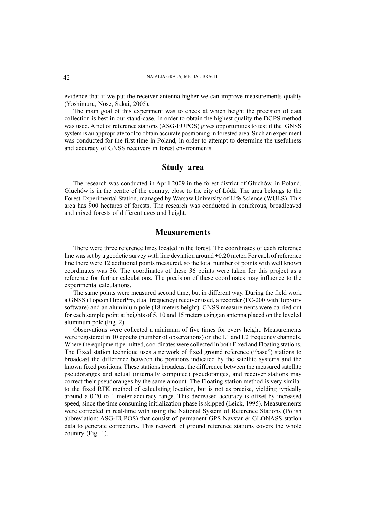evidence that if we put the receiver antenna higher we can improve measurements quality (Yoshimura, Nose, Sakai, 2005).

The main goal of this experiment was to check at which height the precision of data collection is best in our stand-case. In order to obtain the highest quality the DGPS method was used. A net of reference stations (ASG-EUPOS) gives opportunities to test if the GNSS system is an appropriate tool to obtain accurate positioning in forested area. Such an experiment was conducted for the first time in Poland, in order to attempt to determine the usefulness and accuracy of GNSS receivers in forest environments.

#### Study area

The research was conducted in April 2009 in the forest district of Gluchów, in Poland. Gluchów is in the centre of the country, close to the city of Łódź. The area belongs to the Forest Experimental Station, managed by Warsaw University of Life Science (WULS). This area has 900 hectares of forests. The research was conducted in coniferous, broadleaved and mixed forests of different ages and height.

### **Measurements**

There were three reference lines located in the forest. The coordinates of each reference line was set by a geodetic survey with line deviation around  $\pm 0.20$  meter. For each of reference line there were 12 additional points measured, so the total number of points with well known coordinates was 36. The coordinates of these 36 points were taken for this project as a reference for further calculations. The precision of these coordinates may influence to the experimental calculations.

The same points were measured second time, but in different way. During the field work a GNSS (Topcon HiperPro, dual frequency) receiver used, a recorder (FC-200 with TopSurv software) and an aluminium pole (18 meters height). GNSS measurements were carried out for each sample point at heights of 5, 10 and 15 meters using an antenna placed on the leveled aluminum pole (Fig. 2).

Observations were collected a minimum of five times for every height. Measurements were registered in 10 epochs (number of observations) on the L1 and L2 frequency channels. Where the equipment permitted, coordinates were collected in both Fixed and Floating stations. The Fixed station technique uses a network of fixed ground reference ("base") stations to broadcast the difference between the positions indicated by the satellite systems and the known fixed positions. These stations broadcast the difference between the measured satellite pseudoranges and actual (internally computed) pseudoranges, and receiver stations may correct their pseudoranges by the same amount. The Floating station method is very similar to the fixed RTK method of calculating location, but is not as precise, yielding typically around a 0.20 to 1 meter accuracy range. This decreased accuracy is offset by increased speed, since the time consuming initialization phase is skipped (Leick, 1995). Measurements were corrected in real-time with using the National System of Reference Stations (Polish abbreviation: ASG-EUPOS) that consist of permanent GPS Navstar & GLONASS station data to generate corrections. This network of ground reference stations covers the whole country (Fig. 1).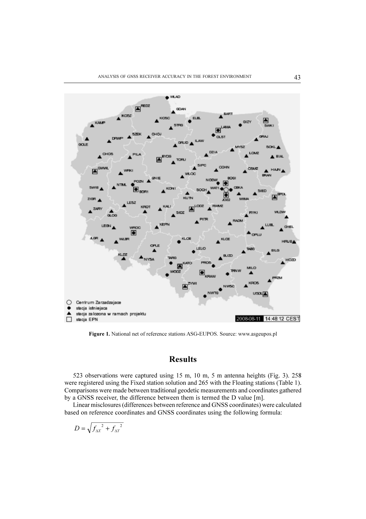

Figure 1. National net of reference stations ASG-EUPOS. Source: www.asgeupos.pl

### Results

523 observations were captured using 15 m, 10 m, 5 m antenna heights (Fig. 3). 258 were registered using the Fixed station solution and 265 with the Floating stations (Table 1). Comparisons were made between traditional geodetic measurements and coordinates gathered by a GNSS receiver, the difference between them is termed the D value [m].

Linear misclosures (differences between reference and GNSS coordinates) were calculated based on reference coordinates and GNSS coordinates using the following formula:

$$
D = \sqrt{f_{\Delta X}^2 + f_{\Delta Y}^2}
$$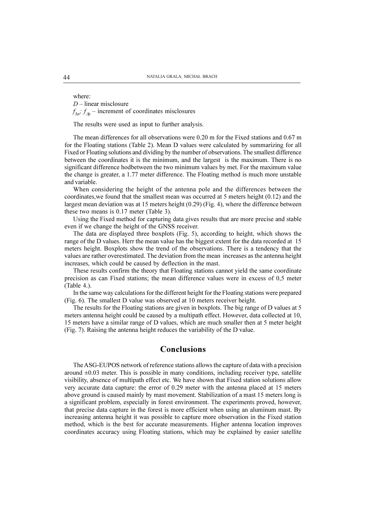where:  $D$  – linear misclosure  $f_{\Lambda x}$ ;  $f_{\Lambda y}$  – increment of coordinates misclosures

The results were used as input to further analysis.

The mean differences for all observations were 0.20 m for the Fixed stations and 0.67 m for the Floating stations (Table 2). Mean D values were calculated by summarizing for all Fixed or Floating solutions and dividing by the number of observations. The smallest difference between the coordinates it is the minimum, and the largest is the maximum. There is no significant difference hodbetween the two minimum values by met. For the maximum value the change is greater, a 1.77 meter difference. The Floating method is much more unstable and variable.

When considering the height of the antenna pole and the differences between the coordinates,we found that the smallest mean was occurred at 5 meters height (0.12) and the largest mean deviation was at 15 meters height (0.29) (Fig. 4), where the difference between these two means is 0.17 meter (Table 3).

Using the Fixed method for capturing data gives results that are more precise and stable even if we change the height of the GNSS receiver.

The data are displayed three boxplots (Fig. 5), according to height, which shows the range of the D values. Herr the mean value has the biggest extent for the data recorded at 15 meters height. Boxplots show the trend of the observations. There is a tendency that the values are rather overestimated. The deviation from the mean increases as the antenna height increases, which could be caused by deflection in the mast.

These results confirm the theory that Floating stations cannot yield the same coordinate precision as can Fixed stations; the mean difference values were in excess of 0,5 meter (Table 4.).

In the same way calculations for the different height for the Floating stations were prepared (Fig. 6). The smallest D value was observed at 10 meters receiver height.

The results for the Floating stations are given in boxplots. The big range of D values at 5 meters antenna height could be caused by a multipath effect. However, data collected at 10, 15 meters have a similar range of D values, which are much smaller then at 5 meter height (Fig. 7). Raising the antenna height reduces the variability of the D value.

### Conclusions

The ASG-EUPOS network of reference stations allows the capture of data with a precision around  $\pm 0.03$  meter. This is possible in many conditions, including receiver type, satellite visibility, absence of multipath effect etc. We have shown that Fixed station solutions allow very accurate data capture: the error of 0.29 meter with the antenna placed at 15 meters above ground is caused mainly by mast movement. Stabilization of a mast 15 meters long is a significant problem, especially in forest environment. The experiments proved, however, that precise data capture in the forest is more efficient when using an aluminum mast. By increasing antenna height it was possible to capture more observation in the Fixed station method, which is the best for accurate measurements. Higher antenna location improves coordinates accuracy using Floating stations, which may be explained by easier satellite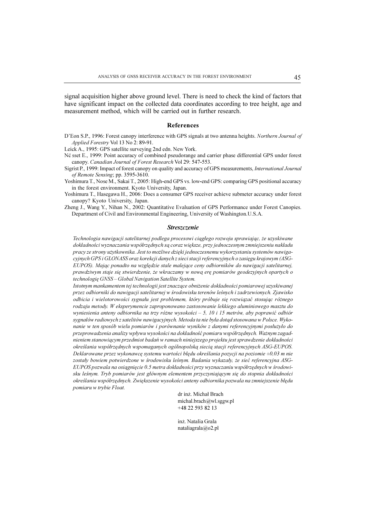signal acquisition higher above ground level. There is need to check the kind of factors that have significant impact on the collected data coordinates according to tree height, age and measurement method, which will be carried out in further research.

#### References

D'Eon S.P., 1996: Forest canopy interference with GPS signals at two antenna heights. Northern Journal of Applied Forestry Vol 13 No 2: 89-91.

Leick A., 1995: GPS satellite surveying 2nd edn. New York.

- Né sset E., 1999: Point accuracy of combined pseudorange and carrier phase differential GPS under forest canopy. Canadian Journal of Forest Research Vol 29: 547-553.
- Sigrist P., 1999: Impact of forest canopy on quality and accuracy of GPS measurements, International Journal of Remote Sensing; pp. 3595-3610.
- Yoshimura T., Nose M., Sakai T., 2005: High-end GPS vs. low-end GPS: comparing GPS positional accuracy in the forest environment. Kyoto University, Japan.
- Yoshimura T., Hasegawa H., 2006: Does a consumer GPS receiver achieve submeter accuracy under forest canopy? Kyoto University, Japan.
- Zheng J., Wang Y., Nihan N., 2002: Quantitative Evaluation of GPS Performance under Forest Canopies. Department of Civil and Environmental Engineering, University of Washington.U.S.A.

#### **Streszczenie**

Technologia nawigacji satelitarnej podlega procesowi ciągłego rozwoju sprawiając, że uzyskiwane dokładności wyznaczania współrzędnych są coraz większe, przy jednoczesnym zmniejszeniu nakładu pracy ze strony użytkownika. Jest to możliwe dzięki jednoczesnemu wykorzystaniu systemów nawigacyjnych GPS i GLONASS oraz korekcji danych z sieci stacji referencyjnych o zasięgu krajowym (ASG-EUPOS). Mając ponadto na względzie stale malejące ceny odbiorników do nawigacji satelitarnej, prawdziwym staje się stwierdzenie, że wkraczamy w nową erę pomiarów geodezyjnych opartych o technologię GNSS - Global Navigation Satellite System.

Istotnym mankamentem tej technologii jest znaczące obniżenie dokładności pomiarowej uzyskiwanej przez odbiorniki do nawigacji satelitarnej w środowisku terenów leśnych i zadrzewionych. Zjawisko odbicia i wielotorowości sygnału jest problemem, który próbuje się rozwiązać stosując różnego rodzaju metody. W eksperymencie zaproponowano zastosowanie lekkiego aluminiowego masztu do wyniesienia anteny odbiornika na trzy różne wysokości – 5, 10 i 15 metrów, aby poprawić odbiór sygnałów radiowych z satelitów nawigacyjnych. Metoda ta nie była dotąd stosowana w Polsce. Wykonanie w ten sposób wielu pomiarów i porównanie wyników z danymi referencyjnymi posłużyło do przeprowadzenia analizy wpływu wysokości na dokładność pomiaru współrzędnych. Ważnym zagadnieniem stanowiącym przedmiot badań w ramach niniejszego projektu jest sprawdzenie dokładności określania współrzędnych wspomaganych ogólnopolską siecią stacji referencyjnych ASG-EUPOS. Deklarowane przez wykonawcę systemu wartości błędu określania pozycji na poziomie  $\pm 0.03$  m nie zostały bowiem potwierdzone w środowisku leśnym. Badania wykazały, że sieć referencyjna ASG-EUPOS pozwala na osiągnięcie 0.5 metra dokładności przy wyznaczaniu współrzędnych w środowisku leśnym. Tryb pomiarów jest głównym elementem przyczyniającym się do stopnia dokładności określania współrzędnych. Zwiększenie wysokości anteny odbiornika pozwala na zmniejszenie błędu pomiaru w trybie Float.

> dr inż. Michał Brach michal.brach@wl.sggw.pl +48 22 593 82 13

inż. Natalia Grala nataliagrala@o2.pl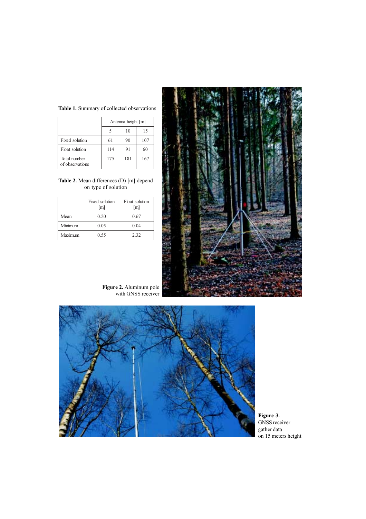

Table 1. Summary of collected observations

| on type of solution |                       |                       |  |  |
|---------------------|-----------------------|-----------------------|--|--|
|                     | Fixed solution<br>[m] | Float solution<br>[m] |  |  |

Total number of observations

|         | [m]  | [m]  |
|---------|------|------|
| Mean    | 0.20 | 0.67 |
| Minimum | 0.05 | 0.04 |
| Maximum | 0.55 | 2.32 |
|         |      |      |



Figure 2. Aluminum pole with GNSS receiver



Figure 3. GNSS receiver gather data on 15 meters height